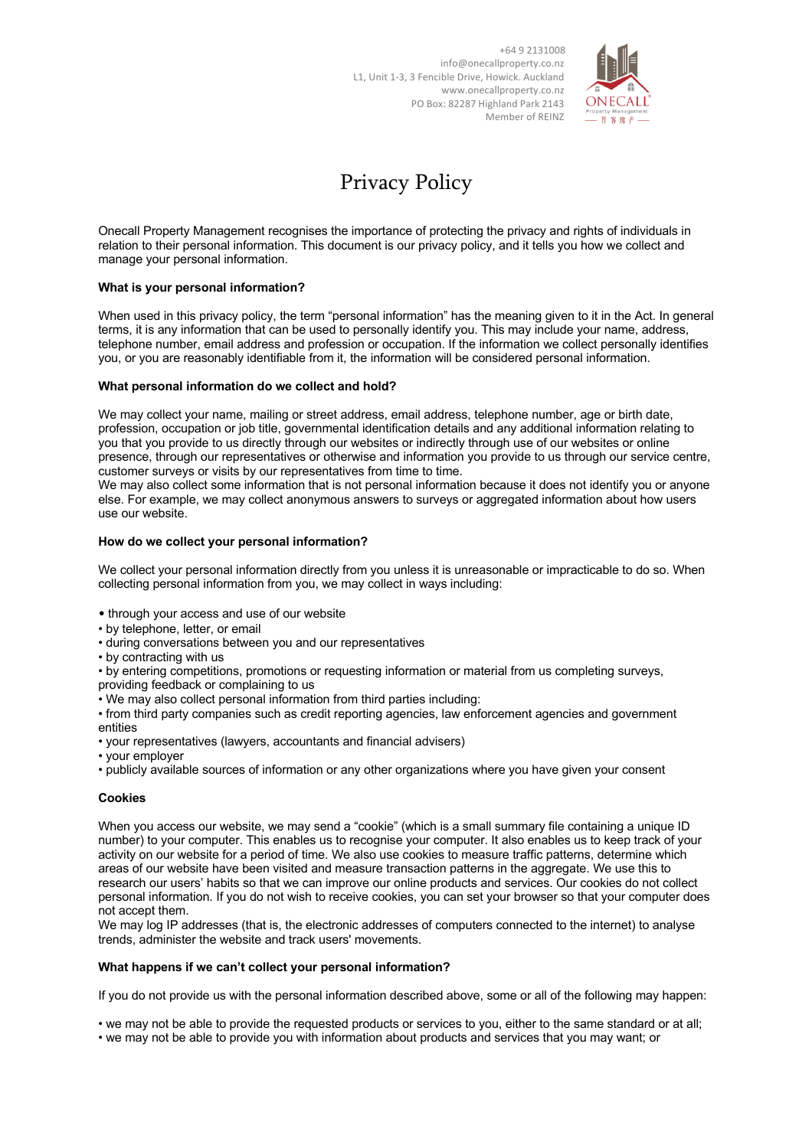

# Privacy Policy

Onecall Property Management recognises the importance of protecting the privacy and rights of individuals in relation to their personal information. This document is our privacy policy, and it tells you how we collect and manage your personal information.

## **What is your personal information?**

When used in this privacy policy, the term "personal information" has the meaning given to it in the Act. In general terms, it is any information that can be used to personally identify you. This may include your name, address, telephone number, email address and profession or occupation. If the information we collect personally identifies you, or you are reasonably identifiable from it, the information will be considered personal information.

## **What personal information do we collect and hold?**

We may collect your name, mailing or street address, email address, telephone number, age or birth date, profession, occupation or job title, governmental identification details and any additional information relating to you that you provide to us directly through our websites or indirectly through use of our websites or online presence, through our representatives or otherwise and information you provide to us through our service centre, customer surveys or visits by our representatives from time to time.

We may also collect some information that is not personal information because it does not identify you or anyone else. For example, we may collect anonymous answers to surveys or aggregated information about how users use our website.

#### **How do we collect your personal information?**

We collect your personal information directly from you unless it is unreasonable or impracticable to do so. When collecting personal information from you, we may collect in ways including:

- through your access and use of our website
- by telephone, letter, or email
- during conversations between you and our representatives
- by contracting with us

• by entering competitions, promotions or requesting information or material from us completing surveys, providing feedback or complaining to us

• We may also collect personal information from third parties including:

• from third party companies such as credit reporting agencies, law enforcement agencies and government entities

- your representatives (lawyers, accountants and financial advisers)
- your employer
- publicly available sources of information or any other organizations where you have given your consent

## **Cookies**

When you access our website, we may send a "cookie" (which is a small summary file containing a unique ID number) to your computer. This enables us to recognise your computer. It also enables us to keep track of your activity on our website for a period of time. We also use cookies to measure traffic patterns, determine which areas of our website have been visited and measure transaction patterns in the aggregate. We use this to research our users' habits so that we can improve our online products and services. Our cookies do not collect personal information. If you do not wish to receive cookies, you can set your browser so that your computer does not accept them.

We may log IP addresses (that is, the electronic addresses of computers connected to the internet) to analyse trends, administer the website and track users' movements.

#### **What happens if we can't collect your personal information?**

If you do not provide us with the personal information described above, some or all of the following may happen:

• we may not be able to provide the requested products or services to you, either to the same standard or at all; • we may not be able to provide you with information about products and services that you may want; or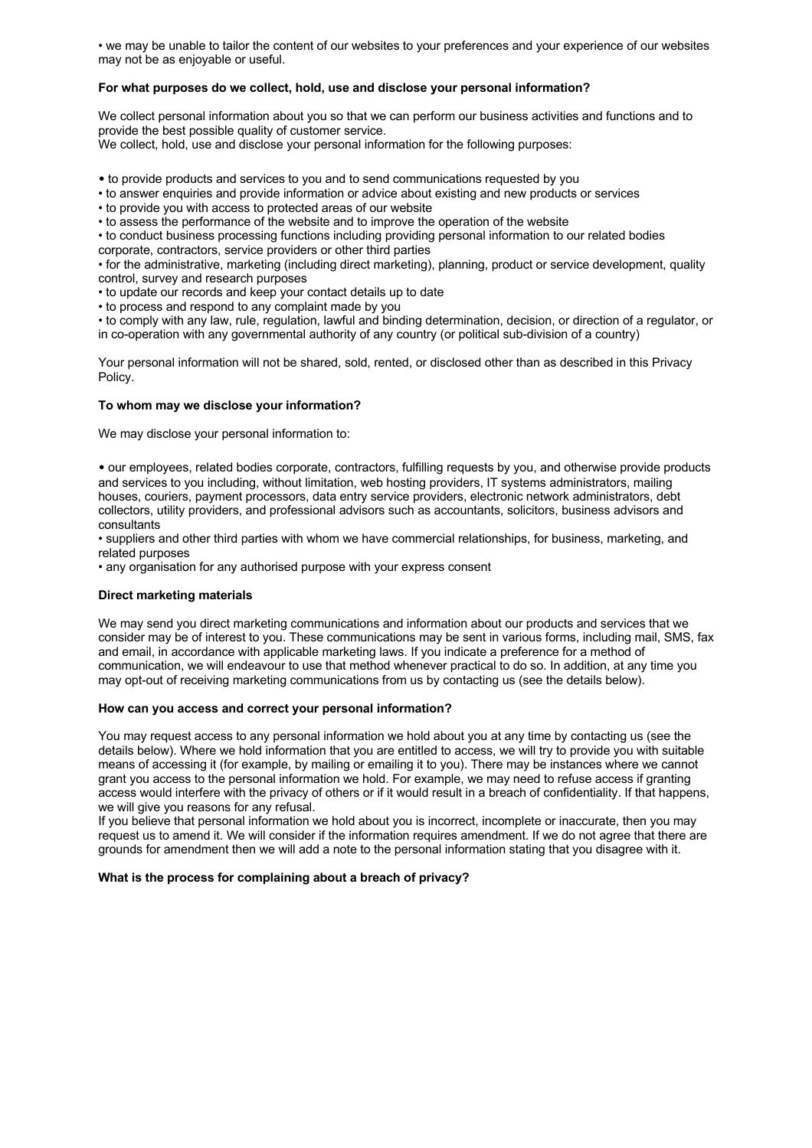• we may be unable to tailor the content of our websites to your preferences and your experience of our websites may not be as enjoyable or useful.

## **For what purposes do we collect, hold, use and disclose your personal information?**

We collect personal information about you so that we can perform our business activities and functions and to provide the best possible quality of customer service.

We collect, hold, use and disclose your personal information for the following purposes:

• to provide products and services to you and to send communications requested by you

• to answer enquiries and provide information or advice about existing and new products or services

• to provide you with access to protected areas of our website

• to assess the performance of the website and to improve the operation of the website

• to conduct business processing functions including providing personal information to our related bodies corporate, contractors, service providers or other third parties

• for the administrative, marketing (including direct marketing), planning, product or service development, quality control, survey and research purposes

• to update our records and keep your contact details up to date

• to process and respond to any complaint made by you

• to comply with any law, rule, regulation, lawful and binding determination, decision, or direction of a regulator, or in co-operation with any governmental authority of any country (or political sub-division of a country)

Your personal information will not be shared, sold, rented, or disclosed other than as described in this Privacy Policy.

#### **To whom may we disclose your information?**

We may disclose your personal information to:

• our employees, related bodies corporate, contractors, fulfilling requests by you, and otherwise provide products and services to you including, without limitation, web hosting providers, IT systems administrators, mailing houses, couriers, payment processors, data entry service providers, electronic network administrators, debt collectors, utility providers, and professional advisors such as accountants, solicitors, business advisors and consultants

• suppliers and other third parties with whom we have commercial relationships, for business, marketing, and related purposes

• any organisation for any authorised purpose with your express consent

#### **Direct marketing materials**

We may send you direct marketing communications and information about our products and services that we consider may be of interest to you. These communications may be sent in various forms, including mail, SMS, fax and email, in accordance with applicable marketing laws. If you indicate a preference for a method of communication, we will endeavour to use that method whenever practical to do so. In addition, at any time you may opt-out of receiving marketing communications from us by contacting us (see the details below).

## **How can you access and correct your personal information?**

You may request access to any personal information we hold about you at any time by contacting us (see the details below). Where we hold information that you are entitled to access, we will try to provide you with suitable means of accessing it (for example, by mailing or emailing it to you). There may be instances where we cannot grant you access to the personal information we hold. For example, we may need to refuse access if granting access would interfere with the privacy of others or if it would result in a breach of confidentiality. If that happens, we will give you reasons for any refusal.

If you believe that personal information we hold about you is incorrect, incomplete or inaccurate, then you may request us to amend it. We will consider if the information requires amendment. If we do not agree that there are grounds for amendment then we will add a note to the personal information stating that you disagree with it.

#### **What is the process for complaining about a breach of privacy?**